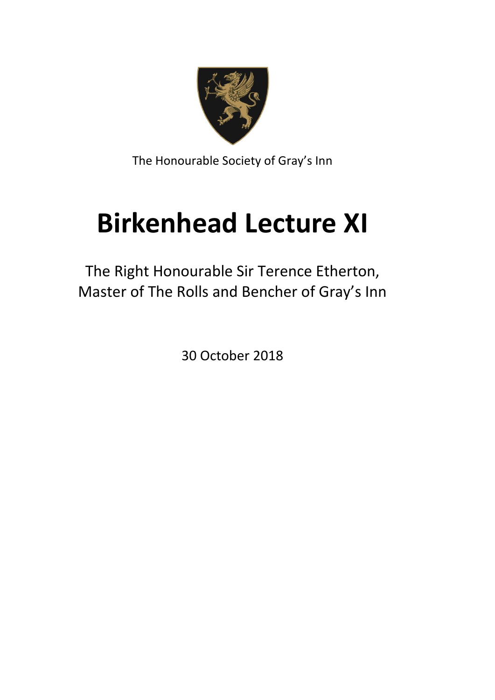

The Honourable Society of Gray's Inn

# **Birkenhead Lecture XI**

The Right Honourable Sir Terence Etherton, Master of The Rolls and Bencher of Gray's Inn

30 October 2018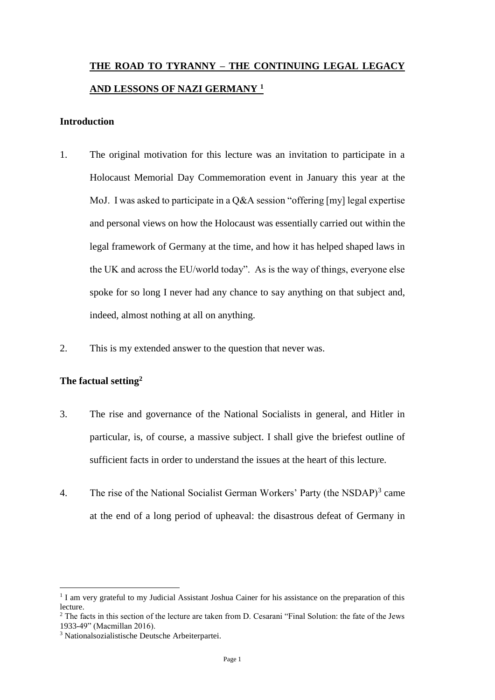## **THE ROAD TO TYRANNY – THE CONTINUING LEGAL LEGACY AND LESSONS OF NAZI GERMANY <sup>1</sup>**

#### **Introduction**

- 1. The original motivation for this lecture was an invitation to participate in a Holocaust Memorial Day Commemoration event in January this year at the MoJ. I was asked to participate in a Q&A session "offering [my] legal expertise and personal views on how the Holocaust was essentially carried out within the legal framework of Germany at the time, and how it has helped shaped laws in the UK and across the EU/world today". As is the way of things, everyone else spoke for so long I never had any chance to say anything on that subject and, indeed, almost nothing at all on anything.
- 2. This is my extended answer to the question that never was.

### **The factual setting<sup>2</sup>**

- 3. The rise and governance of the National Socialists in general, and Hitler in particular, is, of course, a massive subject. I shall give the briefest outline of sufficient facts in order to understand the issues at the heart of this lecture.
- 4. The rise of the National Socialist German Workers' Party (the NSDAP)<sup>3</sup> came at the end of a long period of upheaval: the disastrous defeat of Germany in

<sup>&</sup>lt;sup>1</sup> I am very grateful to my Judicial Assistant Joshua Cainer for his assistance on the preparation of this lecture.

<sup>2</sup> The facts in this section of the lecture are taken from D. Cesarani "Final Solution: the fate of the Jews 1933-49" (Macmillan 2016).

<sup>3</sup> Nationalsozialistische Deutsche Arbeiterpartei.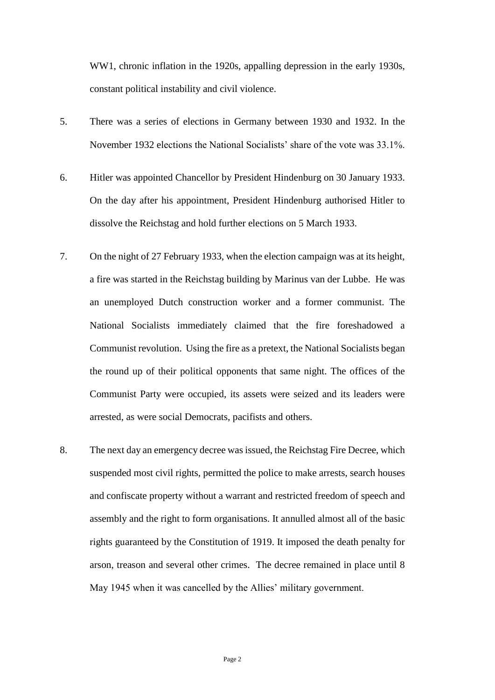WW1, chronic inflation in the 1920s, appalling depression in the early 1930s, constant political instability and civil violence.

- 5. There was a series of elections in Germany between 1930 and 1932. In the November 1932 elections the National Socialists' share of the vote was 33.1%.
- 6. Hitler was appointed Chancellor by President Hindenburg on 30 January 1933. On the day after his appointment, President Hindenburg authorised Hitler to dissolve the Reichstag and hold further elections on 5 March 1933.
- 7. On the night of 27 February 1933, when the election campaign was at its height, a fire was started in the Reichstag building by Marinus van der Lubbe. He was an unemployed Dutch construction worker and a former communist. The National Socialists immediately claimed that the fire foreshadowed a Communist revolution. Using the fire as a pretext, the National Socialists began the round up of their political opponents that same night. The offices of the Communist Party were occupied, its assets were seized and its leaders were arrested, as were social Democrats, pacifists and others.
- 8. The next day an emergency decree was issued, the Reichstag Fire Decree, which suspended most civil rights, permitted the police to make arrests, search houses and confiscate property without a warrant and restricted freedom of speech and assembly and the right to form organisations. It annulled almost all of the basic rights guaranteed by the Constitution of 1919. It imposed the death penalty for arson, treason and several other crimes. The decree remained in place until 8 May 1945 when it was cancelled by the Allies' military government.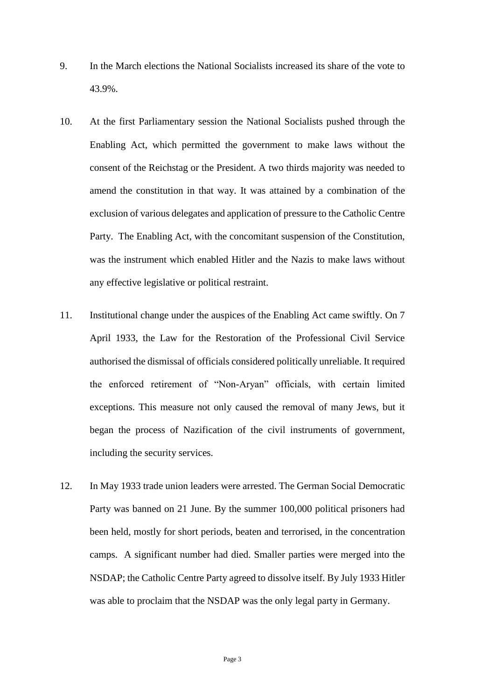- 9. In the March elections the National Socialists increased its share of the vote to 43.9%.
- 10. At the first Parliamentary session the National Socialists pushed through the Enabling Act, which permitted the government to make laws without the consent of the Reichstag or the President. A two thirds majority was needed to amend the constitution in that way. It was attained by a combination of the exclusion of various delegates and application of pressure to the Catholic Centre Party. The Enabling Act, with the concomitant suspension of the Constitution, was the instrument which enabled Hitler and the Nazis to make laws without any effective legislative or political restraint.
- 11. Institutional change under the auspices of the Enabling Act came swiftly. On 7 April 1933, the Law for the Restoration of the Professional Civil Service authorised the dismissal of officials considered politically unreliable. It required the enforced retirement of "Non-Aryan" officials, with certain limited exceptions. This measure not only caused the removal of many Jews, but it began the process of Nazification of the civil instruments of government, including the security services.
- 12. In May 1933 trade union leaders were arrested. The German Social Democratic Party was banned on 21 June. By the summer 100,000 political prisoners had been held, mostly for short periods, beaten and terrorised, in the concentration camps. A significant number had died. Smaller parties were merged into the NSDAP; the Catholic Centre Party agreed to dissolve itself. By July 1933 Hitler was able to proclaim that the NSDAP was the only legal party in Germany.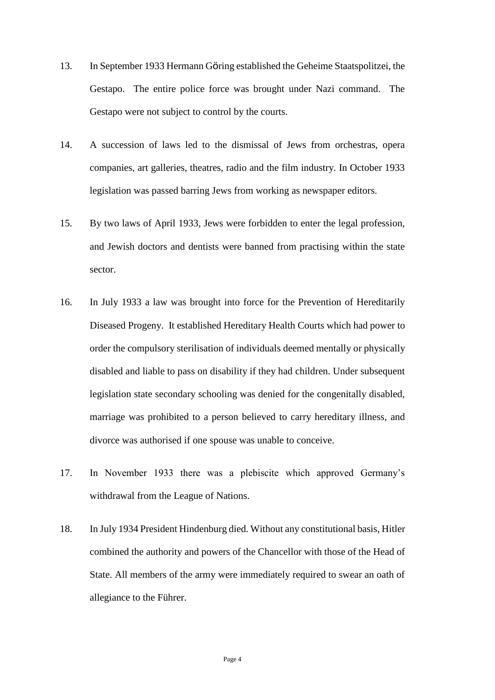- 13. In September 1933 Hermann Göring established the Geheime Staatspolitzei, the Gestapo. The entire police force was brought under Nazi command. The Gestapo were not subject to control by the courts.
- 14. A succession of laws led to the dismissal of Jews from orchestras, opera companies, art galleries, theatres, radio and the film industry. In October 1933 legislation was passed barring Jews from working as newspaper editors.
- 15. By two laws of April 1933, Jews were forbidden to enter the legal profession, and Jewish doctors and dentists were banned from practising within the state sector.
- 16. In July 1933 a law was brought into force for the Prevention of Hereditarily Diseased Progeny. It established Hereditary Health Courts which had power to order the compulsory sterilisation of individuals deemed mentally or physically disabled and liable to pass on disability if they had children. Under subsequent legislation state secondary schooling was denied for the congenitally disabled, marriage was prohibited to a person believed to carry hereditary illness, and divorce was authorised if one spouse was unable to conceive.
- 17. In November 1933 there was a plebiscite which approved Germany's withdrawal from the League of Nations.
- 18. In July 1934 President Hindenburg died. Without any constitutional basis, Hitler combined the authority and powers of the Chancellor with those of the Head of State. All members of the army were immediately required to swear an oath of allegiance to the Führer.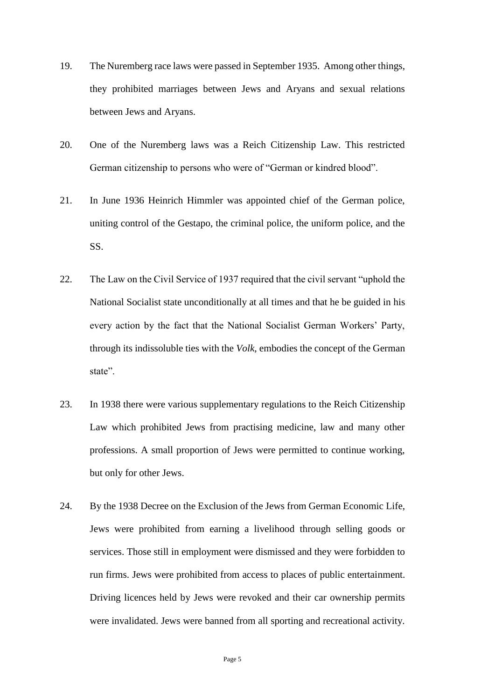- 19. The Nuremberg race laws were passed in September 1935. Among other things, they prohibited marriages between Jews and Aryans and sexual relations between Jews and Aryans.
- 20. One of the Nuremberg laws was a Reich Citizenship Law. This restricted German citizenship to persons who were of "German or kindred blood".
- 21. In June 1936 Heinrich Himmler was appointed chief of the German police, uniting control of the Gestapo, the criminal police, the uniform police, and the SS.
- 22. The Law on the Civil Service of 1937 required that the civil servant "uphold the National Socialist state unconditionally at all times and that he be guided in his every action by the fact that the National Socialist German Workers' Party, through its indissoluble ties with the *Volk*, embodies the concept of the German state".
- 23. In 1938 there were various supplementary regulations to the Reich Citizenship Law which prohibited Jews from practising medicine, law and many other professions. A small proportion of Jews were permitted to continue working, but only for other Jews.
- 24. By the 1938 Decree on the Exclusion of the Jews from German Economic Life, Jews were prohibited from earning a livelihood through selling goods or services. Those still in employment were dismissed and they were forbidden to run firms. Jews were prohibited from access to places of public entertainment. Driving licences held by Jews were revoked and their car ownership permits were invalidated. Jews were banned from all sporting and recreational activity.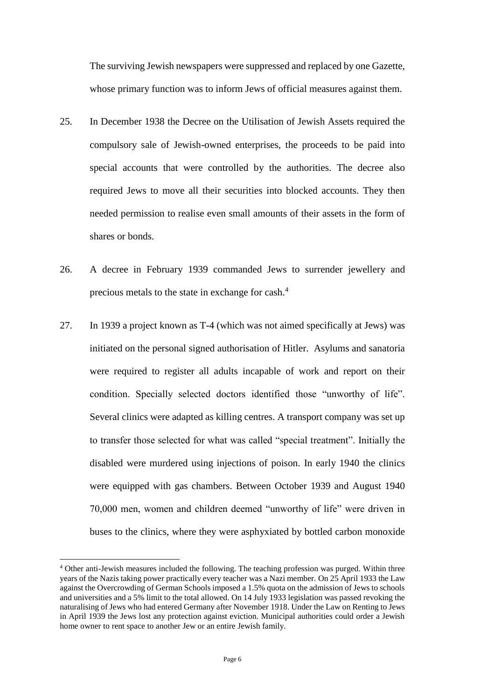The surviving Jewish newspapers were suppressed and replaced by one Gazette, whose primary function was to inform Jews of official measures against them.

- 25. In December 1938 the Decree on the Utilisation of Jewish Assets required the compulsory sale of Jewish-owned enterprises, the proceeds to be paid into special accounts that were controlled by the authorities. The decree also required Jews to move all their securities into blocked accounts. They then needed permission to realise even small amounts of their assets in the form of shares or bonds.
- 26. A decree in February 1939 commanded Jews to surrender jewellery and precious metals to the state in exchange for cash.<sup>4</sup>
- 27. In 1939 a project known as T-4 (which was not aimed specifically at Jews) was initiated on the personal signed authorisation of Hitler. Asylums and sanatoria were required to register all adults incapable of work and report on their condition. Specially selected doctors identified those "unworthy of life". Several clinics were adapted as killing centres. A transport company was set up to transfer those selected for what was called "special treatment". Initially the disabled were murdered using injections of poison. In early 1940 the clinics were equipped with gas chambers. Between October 1939 and August 1940 70,000 men, women and children deemed "unworthy of life" were driven in buses to the clinics, where they were asphyxiated by bottled carbon monoxide

<sup>4</sup> Other anti-Jewish measures included the following. The teaching profession was purged. Within three years of the Nazis taking power practically every teacher was a Nazi member. On 25 April 1933 the Law against the Overcrowding of German Schools imposed a 1.5% quota on the admission of Jews to schools and universities and a 5% limit to the total allowed. On 14 July 1933 legislation was passed revoking the naturalising of Jews who had entered Germany after November 1918. Under the Law on Renting to Jews in April 1939 the Jews lost any protection against eviction. Municipal authorities could order a Jewish home owner to rent space to another Jew or an entire Jewish family.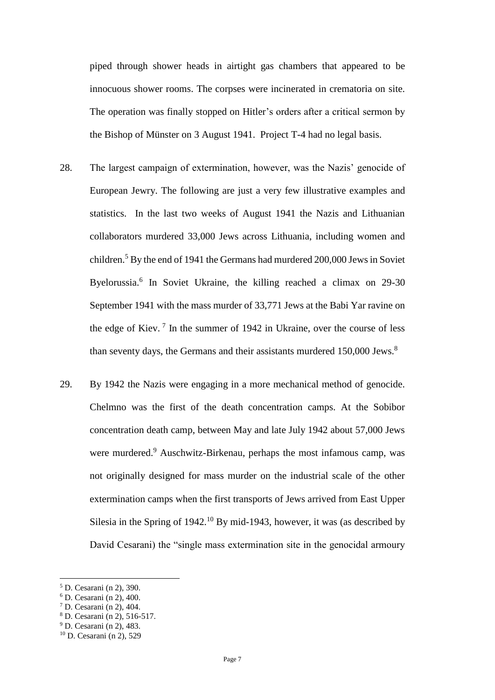piped through shower heads in airtight gas chambers that appeared to be innocuous shower rooms. The corpses were incinerated in crematoria on site. The operation was finally stopped on Hitler's orders after a critical sermon by the Bishop of Münster on 3 August 1941. Project T-4 had no legal basis.

- 28. The largest campaign of extermination, however, was the Nazis' genocide of European Jewry. The following are just a very few illustrative examples and statistics. In the last two weeks of August 1941 the Nazis and Lithuanian collaborators murdered 33,000 Jews across Lithuania, including women and children.<sup>5</sup> By the end of 1941 the Germans had murdered 200,000 Jews in Soviet Byelorussia.<sup>6</sup> In Soviet Ukraine, the killing reached a climax on 29-30 September 1941 with the mass murder of 33,771 Jews at the Babi Yar ravine on the edge of Kiev.<sup>7</sup> In the summer of 1942 in Ukraine, over the course of less than seventy days, the Germans and their assistants murdered 150,000 Jews.<sup>8</sup>
- 29. By 1942 the Nazis were engaging in a more mechanical method of genocide. Chelmno was the first of the death concentration camps. At the Sobibor concentration death camp, between May and late July 1942 about 57,000 Jews were murdered.<sup>9</sup> Auschwitz-Birkenau, perhaps the most infamous camp, was not originally designed for mass murder on the industrial scale of the other extermination camps when the first transports of Jews arrived from East Upper Silesia in the Spring of  $1942$ <sup>10</sup> By mid-1943, however, it was (as described by David Cesarani) the "single mass extermination site in the genocidal armoury

<sup>5</sup> D. Cesarani (n 2), 390.

<sup>6</sup> D. Cesarani (n 2), 400.

<sup>7</sup> D. Cesarani (n 2), 404.

<sup>8</sup> D. Cesarani (n 2), 516-517.

<sup>9</sup> D. Cesarani (n 2), 483.

<sup>10</sup> D. Cesarani (n 2), 529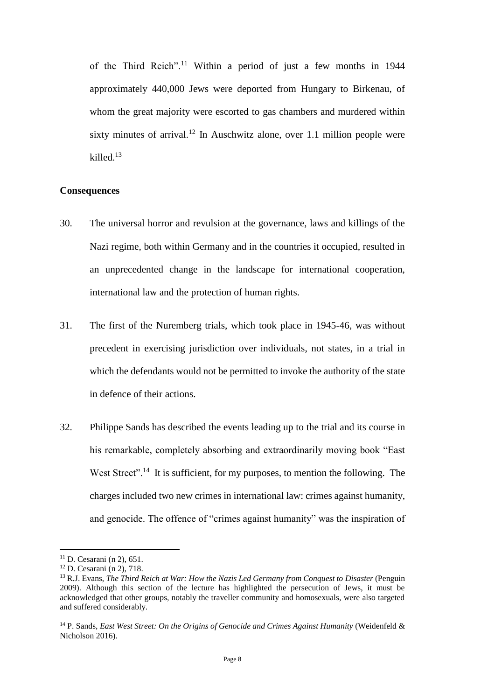of the Third Reich".<sup>11</sup> Within a period of just a few months in 1944 approximately 440,000 Jews were deported from Hungary to Birkenau, of whom the great majority were escorted to gas chambers and murdered within sixty minutes of arrival.<sup>12</sup> In Auschwitz alone, over 1.1 million people were killed.<sup>13</sup>

#### **Consequences**

- 30. The universal horror and revulsion at the governance, laws and killings of the Nazi regime, both within Germany and in the countries it occupied, resulted in an unprecedented change in the landscape for international cooperation, international law and the protection of human rights.
- 31. The first of the Nuremberg trials, which took place in 1945-46, was without precedent in exercising jurisdiction over individuals, not states, in a trial in which the defendants would not be permitted to invoke the authority of the state in defence of their actions.
- 32. Philippe Sands has described the events leading up to the trial and its course in his remarkable, completely absorbing and extraordinarily moving book "East West Street".<sup>14</sup> It is sufficient, for my purposes, to mention the following. The charges included two new crimes in international law: crimes against humanity, and genocide. The offence of "crimes against humanity" was the inspiration of

<sup>11</sup> D. Cesarani (n 2), 651.

<sup>12</sup> D. Cesarani (n 2), 718.

<sup>13</sup> R.J. Evans, *The Third Reich at War: How the Nazis Led Germany from Conquest to Disaster* (Penguin 2009). Although this section of the lecture has highlighted the persecution of Jews, it must be acknowledged that other groups, notably the traveller community and homosexuals, were also targeted and suffered considerably.

<sup>14</sup> P. Sands, *East West Street: On the Origins of Genocide and Crimes Against Humanity* (Weidenfeld & Nicholson 2016).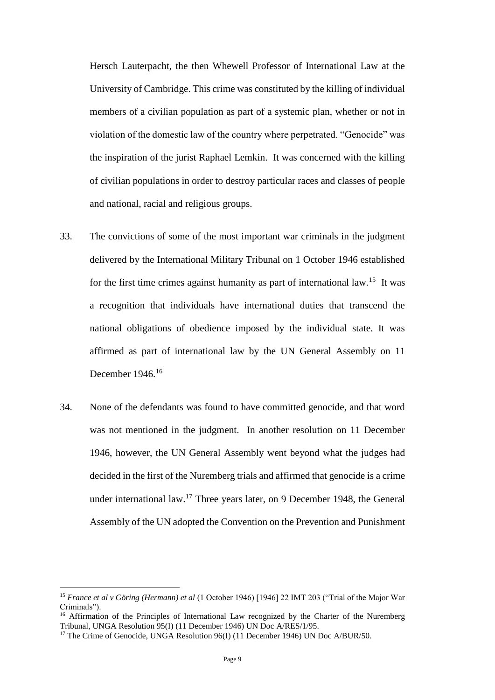Hersch Lauterpacht, the then Whewell Professor of International Law at the University of Cambridge. This crime was constituted by the killing of individual members of a civilian population as part of a systemic plan, whether or not in violation of the domestic law of the country where perpetrated. "Genocide" was the inspiration of the jurist Raphael Lemkin. It was concerned with the killing of civilian populations in order to destroy particular races and classes of people and national, racial and religious groups.

- 33. The convictions of some of the most important war criminals in the judgment delivered by the International Military Tribunal on 1 October 1946 established for the first time crimes against humanity as part of international law.<sup>15</sup> It was a recognition that individuals have international duties that transcend the national obligations of obedience imposed by the individual state. It was affirmed as part of international law by the UN General Assembly on 11 December 1946.<sup>16</sup>
- 34. None of the defendants was found to have committed genocide, and that word was not mentioned in the judgment. In another resolution on 11 December 1946, however, the UN General Assembly went beyond what the judges had decided in the first of the Nuremberg trials and affirmed that genocide is a crime under international law.<sup>17</sup> Three years later, on 9 December 1948, the General Assembly of the UN adopted the Convention on the Prevention and Punishment

<sup>15</sup> *France et al v Göring (Hermann) et al* (1 October 1946) [1946] 22 IMT 203 ("Trial of the Major War Criminals").

<sup>&</sup>lt;sup>16</sup> Affirmation of the Principles of International Law recognized by the Charter of the Nuremberg Tribunal, UNGA Resolution 95(I) (11 December 1946) UN Doc A/RES/1/95.

<sup>&</sup>lt;sup>17</sup> The Crime of Genocide, UNGA Resolution 96(I) (11 December 1946) UN Doc A/BUR/50.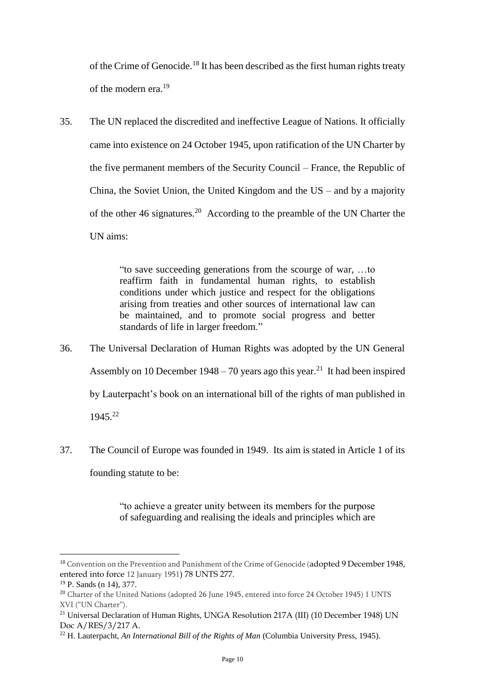of the Crime of Genocide.<sup>18</sup> It has been described as the first human rights treaty of the modern era.<sup>19</sup>

35. The UN replaced the discredited and ineffective League of Nations. It officially came into existence on 24 October 1945, upon ratification of the UN Charter by the five permanent members of the Security Council – France, the Republic of China, the Soviet Union, the United Kingdom and the US – and by a majority of the other 46 signatures.<sup>20</sup> According to the preamble of the UN Charter the UN aims:

> "to save succeeding generations from the scourge of war, …to reaffirm faith in fundamental human rights, to establish conditions under which justice and respect for the obligations arising from treaties and other sources of international law can be maintained, and to promote social progress and better standards of life in larger freedom."

- 36. The Universal Declaration of Human Rights was adopted by the UN General Assembly on 10 December  $1948 - 70$  years ago this year.<sup>21</sup> It had been inspired by Lauterpacht's book on an international bill of the rights of man published in 1945.<sup>22</sup>
- 37. The Council of Europe was founded in 1949. Its aim is stated in Article 1 of its founding statute to be:

"to achieve a greater unity between its members for the purpose of safeguarding and realising the ideals and principles which are

<sup>&</sup>lt;sup>18</sup> Convention on the Prevention and Punishment of the Crime of Genocide (adopted 9 December 1948, entered into force 12 January 1951) 78 UNTS 277.

<sup>19</sup> P. Sands (n 14), 377.

<sup>&</sup>lt;sup>20</sup> Charter of the United Nations (adopted 26 June 1945, entered into force 24 October 1945) 1 UNTS XVI ("UN Charter").

<sup>&</sup>lt;sup>21</sup> Universal Declaration of Human Rights, UNGA Resolution 217A (III) (10 December 1948) UN Doc A/RES/3/217 A.

<sup>22</sup> H. Lauterpacht, *An International Bill of the Rights of Man* (Columbia University Press, 1945).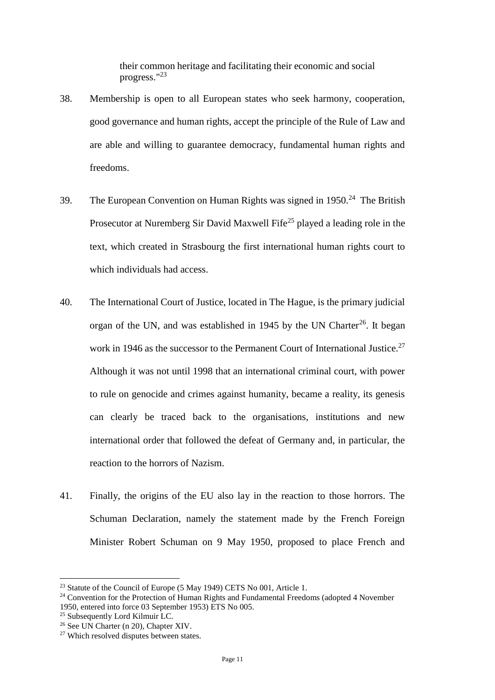their common heritage and facilitating their economic and social progress."<sup>23</sup>

- 38. Membership is open to all European states who seek harmony, cooperation, good governance and human rights, accept the principle of the Rule of Law and are able and willing to guarantee democracy, fundamental human rights and freedoms.
- 39. The European Convention on Human Rights was signed in 1950.<sup>24</sup> The British Prosecutor at Nuremberg Sir David Maxwell Fife<sup>25</sup> played a leading role in the text, which created in Strasbourg the first international human rights court to which individuals had access.
- 40. The International Court of Justice, located in The Hague, is the primary judicial organ of the UN, and was established in 1945 by the UN Charter<sup>26</sup>. It began work in 1946 as the successor to the Permanent Court of International Justice.<sup>27</sup> Although it was not until 1998 that an international criminal court, with power to rule on genocide and crimes against humanity, became a reality, its genesis can clearly be traced back to the organisations, institutions and new international order that followed the defeat of Germany and, in particular, the reaction to the horrors of Nazism.
- 41. Finally, the origins of the EU also lay in the reaction to those horrors. The Schuman Declaration, namely the statement made by the French Foreign Minister Robert Schuman on 9 May 1950, proposed to place French and

<sup>&</sup>lt;sup>23</sup> Statute of the Council of Europe (5 May 1949) CETS No 001, Article 1.

<sup>&</sup>lt;sup>24</sup> Convention for the Protection of Human Rights and Fundamental Freedoms (adopted 4 November 1950, entered into force 03 September 1953) ETS No 005.

<sup>&</sup>lt;sup>25</sup> Subsequently Lord Kilmuir LC.

<sup>&</sup>lt;sup>26</sup> See UN Charter (n 20), Chapter XIV.

<sup>&</sup>lt;sup>27</sup> Which resolved disputes between states.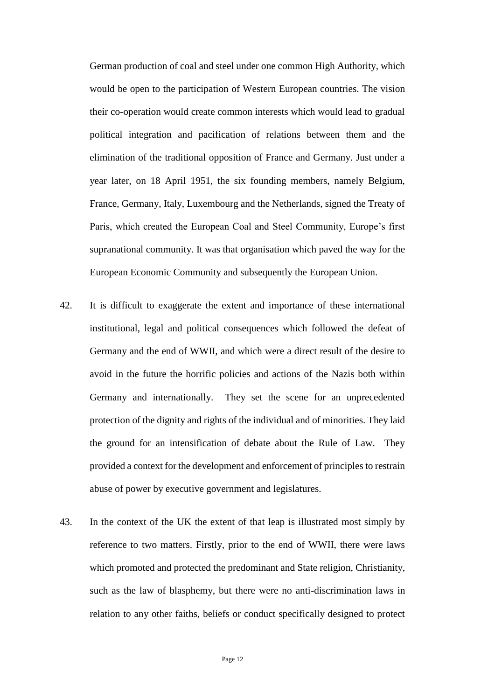German production of coal and steel under one common High Authority, which would be open to the participation of Western European countries. The vision their co-operation would create common interests which would lead to gradual political integration and pacification of relations between them and the elimination of the traditional opposition of France and Germany. Just under a year later, on 18 April 1951, the six founding members, namely Belgium, France, Germany, Italy, Luxembourg and the Netherlands, signed the Treaty of Paris, which created the European Coal and Steel Community, Europe's first supranational community. It was that organisation which paved the way for the European Economic Community and subsequently the European Union.

- 42. It is difficult to exaggerate the extent and importance of these international institutional, legal and political consequences which followed the defeat of Germany and the end of WWII, and which were a direct result of the desire to avoid in the future the horrific policies and actions of the Nazis both within Germany and internationally. They set the scene for an unprecedented protection of the dignity and rights of the individual and of minorities. They laid the ground for an intensification of debate about the Rule of Law. They provided a context for the development and enforcement of principles to restrain abuse of power by executive government and legislatures.
- 43. In the context of the UK the extent of that leap is illustrated most simply by reference to two matters. Firstly, prior to the end of WWII, there were laws which promoted and protected the predominant and State religion, Christianity, such as the law of blasphemy, but there were no anti-discrimination laws in relation to any other faiths, beliefs or conduct specifically designed to protect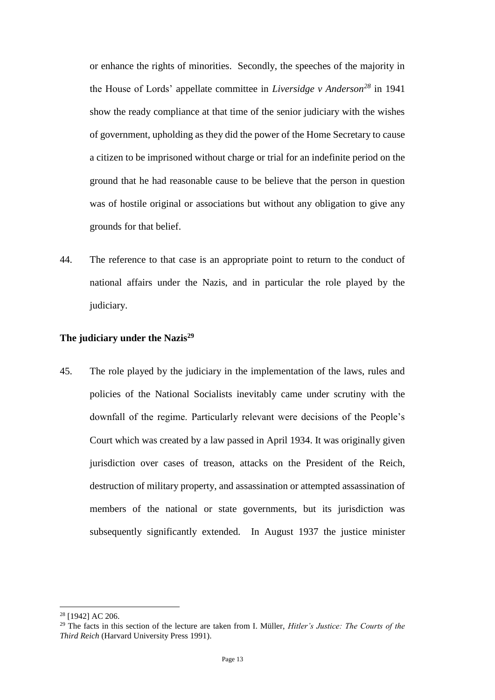or enhance the rights of minorities. Secondly, the speeches of the majority in the House of Lords' appellate committee in *Liversidge v Anderson<sup>28</sup>* in 1941 show the ready compliance at that time of the senior judiciary with the wishes of government, upholding as they did the power of the Home Secretary to cause a citizen to be imprisoned without charge or trial for an indefinite period on the ground that he had reasonable cause to be believe that the person in question was of hostile original or associations but without any obligation to give any grounds for that belief.

44. The reference to that case is an appropriate point to return to the conduct of national affairs under the Nazis, and in particular the role played by the judiciary.

#### **The judiciary under the Nazis<sup>29</sup>**

45. The role played by the judiciary in the implementation of the laws, rules and policies of the National Socialists inevitably came under scrutiny with the downfall of the regime. Particularly relevant were decisions of the People's Court which was created by a law passed in April 1934. It was originally given jurisdiction over cases of treason, attacks on the President of the Reich, destruction of military property, and assassination or attempted assassination of members of the national or state governments, but its jurisdiction was subsequently significantly extended. In August 1937 the justice minister

<sup>28</sup> [1942] AC 206.

<sup>29</sup> The facts in this section of the lecture are taken from I. Müller, *Hitler's Justice: The Courts of the Third Reich* (Harvard University Press 1991).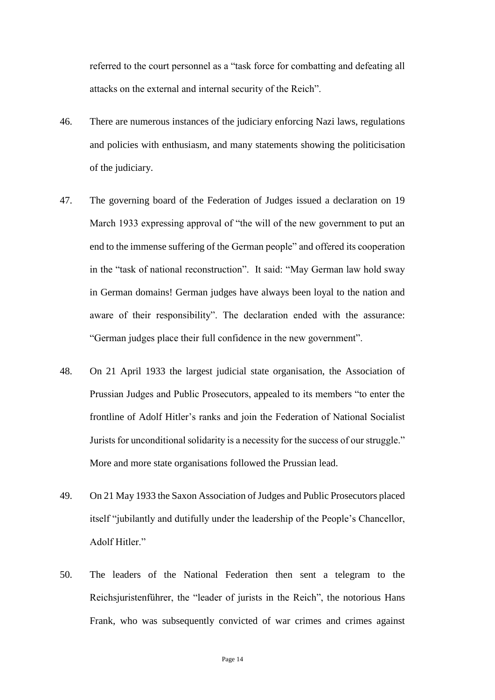referred to the court personnel as a "task force for combatting and defeating all attacks on the external and internal security of the Reich".

- 46. There are numerous instances of the judiciary enforcing Nazi laws, regulations and policies with enthusiasm, and many statements showing the politicisation of the judiciary.
- 47. The governing board of the Federation of Judges issued a declaration on 19 March 1933 expressing approval of "the will of the new government to put an end to the immense suffering of the German people" and offered its cooperation in the "task of national reconstruction". It said: "May German law hold sway in German domains! German judges have always been loyal to the nation and aware of their responsibility". The declaration ended with the assurance: "German judges place their full confidence in the new government".
- 48. On 21 April 1933 the largest judicial state organisation, the Association of Prussian Judges and Public Prosecutors, appealed to its members "to enter the frontline of Adolf Hitler's ranks and join the Federation of National Socialist Jurists for unconditional solidarity is a necessity for the success of our struggle." More and more state organisations followed the Prussian lead.
- 49. On 21 May 1933 the Saxon Association of Judges and Public Prosecutors placed itself "jubilantly and dutifully under the leadership of the People's Chancellor, Adolf Hitler."
- 50. The leaders of the National Federation then sent a telegram to the Reichsjuristenführer, the "leader of jurists in the Reich", the notorious Hans Frank, who was subsequently convicted of war crimes and crimes against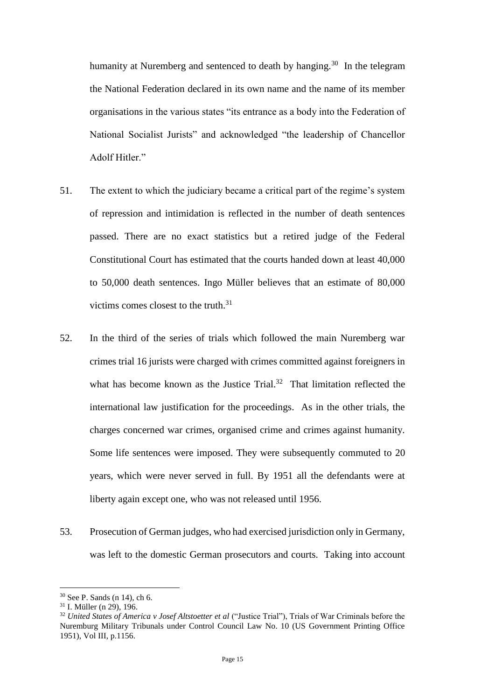humanity at Nuremberg and sentenced to death by hanging.<sup>30</sup> In the telegram the National Federation declared in its own name and the name of its member organisations in the various states "its entrance as a body into the Federation of National Socialist Jurists" and acknowledged "the leadership of Chancellor Adolf Hitler."

- 51. The extent to which the judiciary became a critical part of the regime's system of repression and intimidation is reflected in the number of death sentences passed. There are no exact statistics but a retired judge of the Federal Constitutional Court has estimated that the courts handed down at least 40,000 to 50,000 death sentences. Ingo Müller believes that an estimate of 80,000 victims comes closest to the truth.<sup>31</sup>
- 52. In the third of the series of trials which followed the main Nuremberg war crimes trial 16 jurists were charged with crimes committed against foreigners in what has become known as the Justice Trial. $32$  That limitation reflected the international law justification for the proceedings. As in the other trials, the charges concerned war crimes, organised crime and crimes against humanity. Some life sentences were imposed. They were subsequently commuted to 20 years, which were never served in full. By 1951 all the defendants were at liberty again except one, who was not released until 1956.
- 53. Prosecution of German judges, who had exercised jurisdiction only in Germany, was left to the domestic German prosecutors and courts. Taking into account

<sup>30</sup> See P. Sands (n 14), ch 6.

<sup>31</sup> I. Müller (n 29), 196.

<sup>32</sup> *United States of America v Josef Altstoetter et al* ("Justice Trial"), Trials of War Criminals before the Nuremburg Military Tribunals under Control Council Law No. 10 (US Government Printing Office 1951), Vol III, p.1156.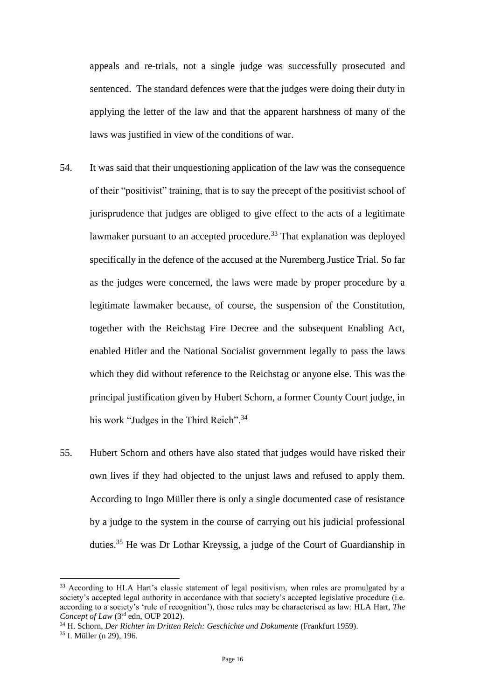appeals and re-trials, not a single judge was successfully prosecuted and sentenced. The standard defences were that the judges were doing their duty in applying the letter of the law and that the apparent harshness of many of the laws was justified in view of the conditions of war.

- 54. It was said that their unquestioning application of the law was the consequence of their "positivist" training, that is to say the precept of the positivist school of jurisprudence that judges are obliged to give effect to the acts of a legitimate lawmaker pursuant to an accepted procedure.<sup>33</sup> That explanation was deployed specifically in the defence of the accused at the Nuremberg Justice Trial. So far as the judges were concerned, the laws were made by proper procedure by a legitimate lawmaker because, of course, the suspension of the Constitution, together with the Reichstag Fire Decree and the subsequent Enabling Act, enabled Hitler and the National Socialist government legally to pass the laws which they did without reference to the Reichstag or anyone else. This was the principal justification given by Hubert Schorn, a former County Court judge, in his work "Judges in the Third Reich".<sup>34</sup>
- 55. Hubert Schorn and others have also stated that judges would have risked their own lives if they had objected to the unjust laws and refused to apply them. According to Ingo Müller there is only a single documented case of resistance by a judge to the system in the course of carrying out his judicial professional duties.<sup>35</sup> He was Dr Lothar Kreyssig, a judge of the Court of Guardianship in

<sup>&</sup>lt;sup>33</sup> According to HLA Hart's classic statement of legal positivism, when rules are promulgated by a society's accepted legal authority in accordance with that society's accepted legislative procedure (i.e. according to a society's 'rule of recognition'), those rules may be characterised as law: HLA Hart, *The Concept of Law* (3rd edn, OUP 2012).

<sup>&</sup>lt;sup>34</sup> H. Schorn, *Der Richter im Dritten Reich: Geschichte und Dokumente* (Frankfurt 1959).

<sup>35</sup> I. Müller (n 29), 196.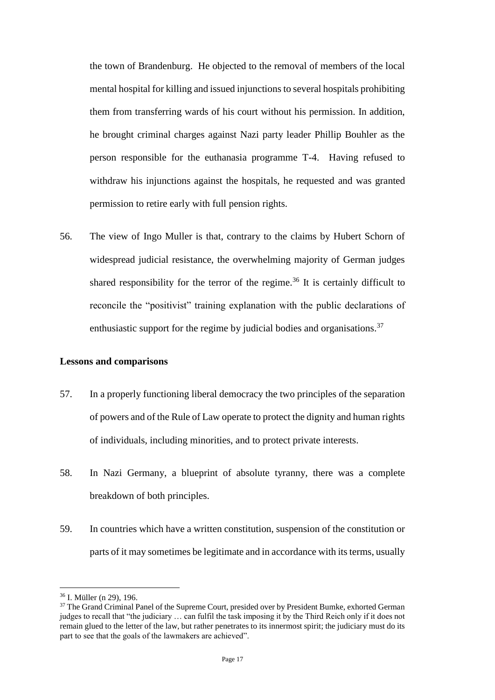the town of Brandenburg. He objected to the removal of members of the local mental hospital for killing and issued injunctions to several hospitals prohibiting them from transferring wards of his court without his permission. In addition, he brought criminal charges against Nazi party leader Phillip Bouhler as the person responsible for the euthanasia programme T-4. Having refused to withdraw his injunctions against the hospitals, he requested and was granted permission to retire early with full pension rights.

56. The view of Ingo Muller is that, contrary to the claims by Hubert Schorn of widespread judicial resistance, the overwhelming majority of German judges shared responsibility for the terror of the regime.<sup>36</sup> It is certainly difficult to reconcile the "positivist" training explanation with the public declarations of enthusiastic support for the regime by judicial bodies and organisations.<sup>37</sup>

#### **Lessons and comparisons**

- 57. In a properly functioning liberal democracy the two principles of the separation of powers and of the Rule of Law operate to protect the dignity and human rights of individuals, including minorities, and to protect private interests.
- 58. In Nazi Germany, a blueprint of absolute tyranny, there was a complete breakdown of both principles.
- 59. In countries which have a written constitution, suspension of the constitution or parts of it may sometimes be legitimate and in accordance with its terms, usually

<sup>36</sup> I. Müller (n 29), 196.

<sup>&</sup>lt;sup>37</sup> The Grand Criminal Panel of the Supreme Court, presided over by President Bumke, exhorted German judges to recall that "the judiciary … can fulfil the task imposing it by the Third Reich only if it does not remain glued to the letter of the law, but rather penetrates to its innermost spirit; the judiciary must do its part to see that the goals of the lawmakers are achieved".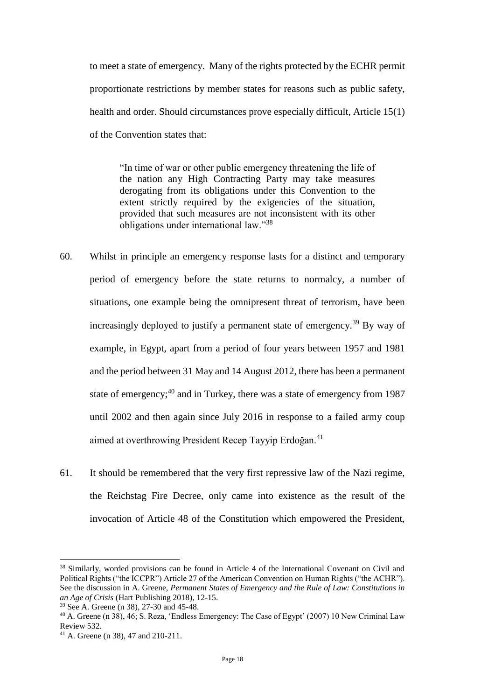to meet a state of emergency. Many of the rights protected by the ECHR permit proportionate restrictions by member states for reasons such as public safety, health and order. Should circumstances prove especially difficult, Article 15(1) of the Convention states that:

"In time of war or other public emergency threatening the life of the nation any High Contracting Party may take measures derogating from its obligations under this Convention to the extent strictly required by the exigencies of the situation, provided that such measures are not inconsistent with its other obligations under international law."<sup>38</sup>

- 60. Whilst in principle an emergency response lasts for a distinct and temporary period of emergency before the state returns to normalcy, a number of situations, one example being the omnipresent threat of terrorism, have been increasingly deployed to justify a permanent state of emergency.<sup>39</sup> By way of example, in Egypt, apart from a period of four years between 1957 and 1981 and the period between 31 May and 14 August 2012, there has been a permanent state of emergency;<sup>40</sup> and in Turkey, there was a state of emergency from 1987 until 2002 and then again since July 2016 in response to a failed army coup aimed at overthrowing President Recep Tayyip Erdoğan.<sup>41</sup>
- 61. It should be remembered that the very first repressive law of the Nazi regime, the Reichstag Fire Decree, only came into existence as the result of the invocation of Article 48 of the Constitution which empowered the President,

<sup>&</sup>lt;sup>38</sup> Similarly, worded provisions can be found in Article 4 of the International Covenant on Civil and Political Rights ("the ICCPR") Article 27 of the American Convention on Human Rights ("the ACHR"). See the discussion in A. Greene, *Permanent States of Emergency and the Rule of Law: Constitutions in an Age of Crisis* (Hart Publishing 2018), 12-15.

<sup>39</sup> See A. Greene (n 38), 27-30 and 45-48.

<sup>40</sup> A. Greene (n 38), 46; S. Reza, 'Endless Emergency: The Case of Egypt' (2007) 10 New Criminal Law Review 532.

<sup>41</sup> A. Greene (n 38), 47 and 210-211.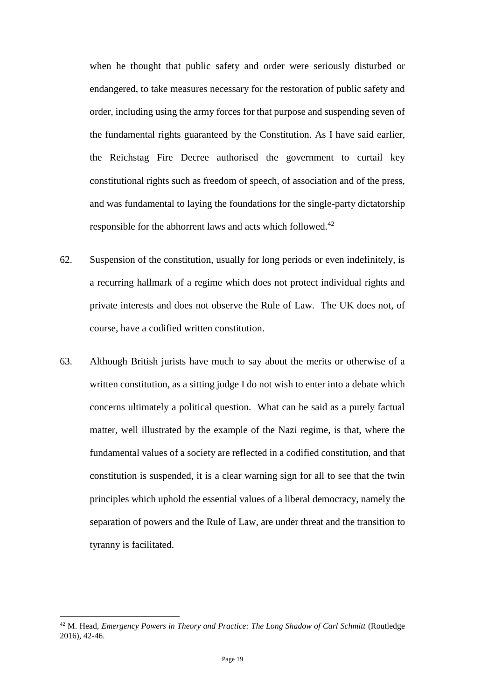when he thought that public safety and order were seriously disturbed or endangered, to take measures necessary for the restoration of public safety and order, including using the army forces for that purpose and suspending seven of the fundamental rights guaranteed by the Constitution. As I have said earlier, the Reichstag Fire Decree authorised the government to curtail key constitutional rights such as freedom of speech, of association and of the press, and was fundamental to laying the foundations for the single-party dictatorship responsible for the abhorrent laws and acts which followed.<sup>42</sup>

- 62. Suspension of the constitution, usually for long periods or even indefinitely, is a recurring hallmark of a regime which does not protect individual rights and private interests and does not observe the Rule of Law. The UK does not, of course, have a codified written constitution.
- 63. Although British jurists have much to say about the merits or otherwise of a written constitution, as a sitting judge I do not wish to enter into a debate which concerns ultimately a political question. What can be said as a purely factual matter, well illustrated by the example of the Nazi regime, is that, where the fundamental values of a society are reflected in a codified constitution, and that constitution is suspended, it is a clear warning sign for all to see that the twin principles which uphold the essential values of a liberal democracy, namely the separation of powers and the Rule of Law, are under threat and the transition to tyranny is facilitated.

<sup>&</sup>lt;sup>42</sup> M. Head, *Emergency Powers in Theory and Practice: The Long Shadow of Carl Schmitt* (Routledge 2016), 42-46.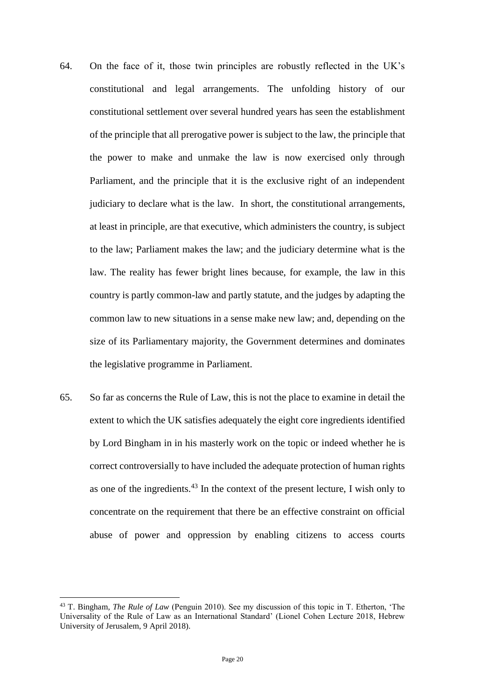- 64. On the face of it, those twin principles are robustly reflected in the UK's constitutional and legal arrangements. The unfolding history of our constitutional settlement over several hundred years has seen the establishment of the principle that all prerogative power is subject to the law, the principle that the power to make and unmake the law is now exercised only through Parliament, and the principle that it is the exclusive right of an independent judiciary to declare what is the law. In short, the constitutional arrangements, at least in principle, are that executive, which administers the country, is subject to the law; Parliament makes the law; and the judiciary determine what is the law. The reality has fewer bright lines because, for example, the law in this country is partly common-law and partly statute, and the judges by adapting the common law to new situations in a sense make new law; and, depending on the size of its Parliamentary majority, the Government determines and dominates the legislative programme in Parliament.
- 65. So far as concerns the Rule of Law, this is not the place to examine in detail the extent to which the UK satisfies adequately the eight core ingredients identified by Lord Bingham in in his masterly work on the topic or indeed whether he is correct controversially to have included the adequate protection of human rights as one of the ingredients.<sup>43</sup> In the context of the present lecture, I wish only to concentrate on the requirement that there be an effective constraint on official abuse of power and oppression by enabling citizens to access courts

<sup>43</sup> T. Bingham, *The Rule of Law* (Penguin 2010). See my discussion of this topic in T. Etherton, 'The Universality of the Rule of Law as an International Standard' (Lionel Cohen Lecture 2018, Hebrew University of Jerusalem, 9 April 2018).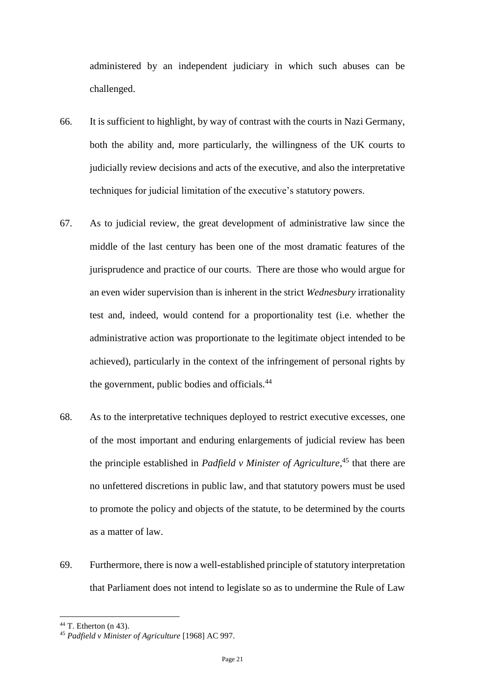administered by an independent judiciary in which such abuses can be challenged.

- 66. It is sufficient to highlight, by way of contrast with the courts in Nazi Germany, both the ability and, more particularly, the willingness of the UK courts to judicially review decisions and acts of the executive, and also the interpretative techniques for judicial limitation of the executive's statutory powers.
- 67. As to judicial review, the great development of administrative law since the middle of the last century has been one of the most dramatic features of the jurisprudence and practice of our courts. There are those who would argue for an even wider supervision than is inherent in the strict *Wednesbury* irrationality test and, indeed, would contend for a proportionality test (i.e. whether the administrative action was proportionate to the legitimate object intended to be achieved), particularly in the context of the infringement of personal rights by the government, public bodies and officials.<sup>44</sup>
- 68. As to the interpretative techniques deployed to restrict executive excesses, one of the most important and enduring enlargements of judicial review has been the principle established in *Padfield v Minister of Agriculture*, <sup>45</sup> that there are no unfettered discretions in public law, and that statutory powers must be used to promote the policy and objects of the statute, to be determined by the courts as a matter of law.
- 69. Furthermore, there is now a well-established principle of statutory interpretation that Parliament does not intend to legislate so as to undermine the Rule of Law

 $44$  T. Etherton (n 43).

<sup>45</sup> *Padfield v Minister of Agriculture* [1968] AC 997.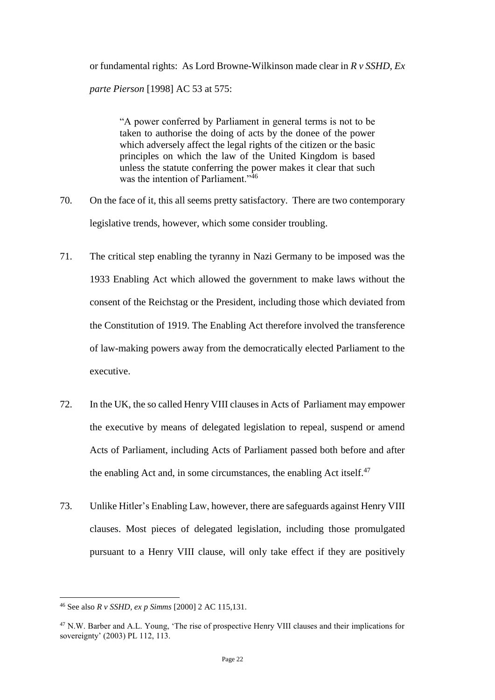or fundamental rights: As Lord Browne-Wilkinson made clear in *R v SSHD, Ex parte Pierson* [1998] AC 53 at 575:

"A power conferred by Parliament in general terms is not to be taken to authorise the doing of acts by the donee of the power which adversely affect the legal rights of the citizen or the basic principles on which the law of the United Kingdom is based unless the statute conferring the power makes it clear that such was the intention of Parliament."46

- 70. On the face of it, this all seems pretty satisfactory. There are two contemporary legislative trends, however, which some consider troubling.
- 71. The critical step enabling the tyranny in Nazi Germany to be imposed was the 1933 Enabling Act which allowed the government to make laws without the consent of the Reichstag or the President, including those which deviated from the Constitution of 1919. The Enabling Act therefore involved the transference of law-making powers away from the democratically elected Parliament to the executive.
- 72. In the UK, the so called Henry VIII clauses in Acts of Parliament may empower the executive by means of delegated legislation to repeal, suspend or amend Acts of Parliament, including Acts of Parliament passed both before and after the enabling Act and, in some circumstances, the enabling Act itself. $47$
- 73. Unlike Hitler's Enabling Law, however, there are safeguards against Henry VIII clauses. Most pieces of delegated legislation, including those promulgated pursuant to a Henry VIII clause, will only take effect if they are positively

<sup>46</sup> See also *R v SSHD, ex p Simms* [2000] 2 AC 115,131.

<sup>&</sup>lt;sup>47</sup> N.W. Barber and A.L. Young, 'The rise of prospective Henry VIII clauses and their implications for sovereignty' (2003) PL 112, 113.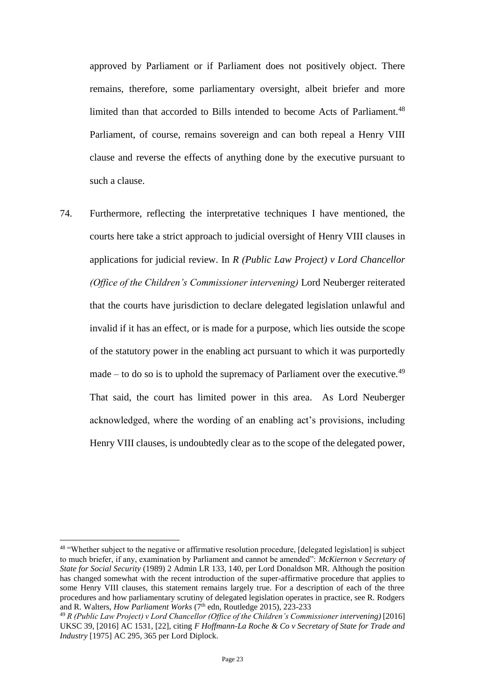approved by Parliament or if Parliament does not positively object. There remains, therefore, some parliamentary oversight, albeit briefer and more limited than that accorded to Bills intended to become Acts of Parliament.<sup>48</sup> Parliament, of course, remains sovereign and can both repeal a Henry VIII clause and reverse the effects of anything done by the executive pursuant to such a clause.

74. Furthermore, reflecting the interpretative techniques I have mentioned, the courts here take a strict approach to judicial oversight of Henry VIII clauses in applications for judicial review. In *R (Public Law Project) v Lord Chancellor (Office of the Children's Commissioner intervening)* Lord Neuberger reiterated that the courts have jurisdiction to declare delegated legislation unlawful and invalid if it has an effect, or is made for a purpose, which lies outside the scope of the statutory power in the enabling act pursuant to which it was purportedly made – to do so is to uphold the supremacy of Parliament over the executive.<sup>49</sup> That said, the court has limited power in this area. As Lord Neuberger acknowledged, where the wording of an enabling act's provisions, including Henry VIII clauses, is undoubtedly clear as to the scope of the delegated power,

<sup>48</sup> "Whether subject to the negative or affirmative resolution procedure, [delegated legislation] is subject to much briefer, if any, examination by Parliament and cannot be amended": *McKiernon v Secretary of State for Social Security* (1989) 2 Admin LR 133, 140, per Lord Donaldson MR. Although the position has changed somewhat with the recent introduction of the super-affirmative procedure that applies to some Henry VIII clauses, this statement remains largely true. For a description of each of the three procedures and how parliamentary scrutiny of delegated legislation operates in practice, see R. Rodgers and R. Walters, *How Parliament Works* (7<sup>th</sup> edn, Routledge 2015), 223-233

<sup>49</sup> *R (Public Law Project) v Lord Chancellor (Office of the Children's Commissioner intervening)* [2016] UKSC 39, [2016] AC 1531, [22], citing *F Hoffmann-La Roche & Co v Secretary of State for Trade and Industry* [1975] AC 295, 365 per Lord Diplock.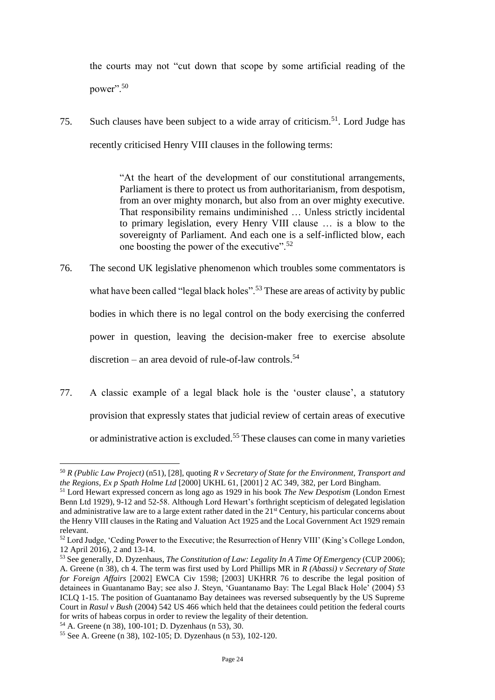the courts may not "cut down that scope by some artificial reading of the power".<sup>50</sup>

75. Such clauses have been subject to a wide array of criticism.<sup>51</sup>. Lord Judge has recently criticised Henry VIII clauses in the following terms:

> "At the heart of the development of our constitutional arrangements, Parliament is there to protect us from authoritarianism, from despotism, from an over mighty monarch, but also from an over mighty executive. That responsibility remains undiminished … Unless strictly incidental to primary legislation, every Henry VIII clause … is a blow to the sovereignty of Parliament. And each one is a self-inflicted blow, each one boosting the power of the executive".<sup>52</sup>

- 76. The second UK legislative phenomenon which troubles some commentators is what have been called "legal black holes".<sup>53</sup> These are areas of activity by public bodies in which there is no legal control on the body exercising the conferred power in question, leaving the decision-maker free to exercise absolute discretion – an area devoid of rule-of-law controls.<sup>54</sup>
- 77. A classic example of a legal black hole is the 'ouster clause', a statutory provision that expressly states that judicial review of certain areas of executive or administrative action is excluded.<sup>55</sup> These clauses can come in many varieties

<sup>50</sup> *R (Public Law Project)* (n51), [28], quoting *R v Secretary of State for the Environment, Transport and the Regions, Ex p Spath Holme Ltd* [2000] UKHL 61, [2001] 2 AC 349, 382, per Lord Bingham.

<sup>51</sup> Lord Hewart expressed concern as long ago as 1929 in his book *The New Despotism* (London Ernest Benn Ltd 1929), 9-12 and 52-58. Although Lord Hewart's forthright scepticism of delegated legislation and administrative law are to a large extent rather dated in the 21st Century, his particular concerns about the Henry VIII clauses in the Rating and Valuation Act 1925 and the Local Government Act 1929 remain relevant.

<sup>&</sup>lt;sup>52</sup> Lord Judge, 'Ceding Power to the Executive; the Resurrection of Henry VIII' (King's College London, 12 April 2016), 2 and 13-14.

<sup>53</sup> See generally, D. Dyzenhaus, *The Constitution of Law: Legality In A Time Of Emergency* (CUP 2006); A. Greene (n 38), ch 4. The term was first used by Lord Phillips MR in *R (Abassi) v Secretary of State for Foreign Affairs* [2002] EWCA Civ 1598; [2003] UKHRR 76 to describe the legal position of detainees in Guantanamo Bay; see also J. Steyn, 'Guantanamo Bay: The Legal Black Hole' (2004) 53 ICLQ 1-15. The position of Guantanamo Bay detainees was reversed subsequently by the US Supreme Court in *Rasul v Bush* (2004) 542 US 466 which held that the detainees could petition the federal courts for writs of habeas corpus in order to review the legality of their detention.

 $54$  A. Greene (n 38), 100-101; D. Dyzenhaus (n 53), 30.

<sup>55</sup> See A. Greene (n 38), 102-105; D. Dyzenhaus (n 53), 102-120.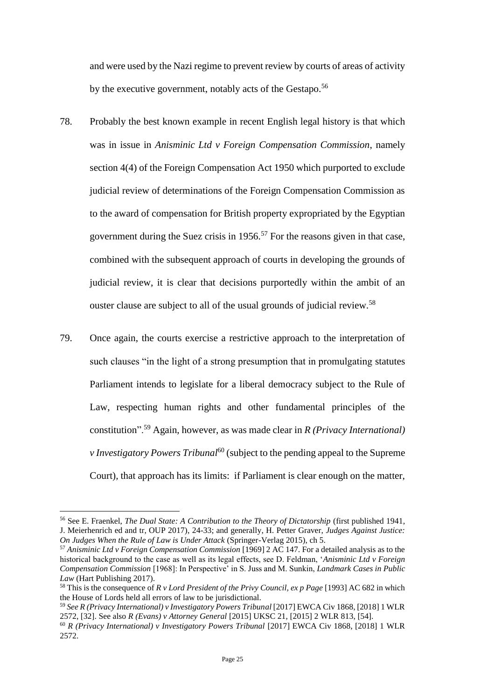and were used by the Nazi regime to prevent review by courts of areas of activity by the executive government, notably acts of the Gestapo.<sup>56</sup>

- 78. Probably the best known example in recent English legal history is that which was in issue in *Anisminic Ltd v Foreign Compensation Commission*, namely section 4(4) of the Foreign Compensation Act 1950 which purported to exclude judicial review of determinations of the Foreign Compensation Commission as to the award of compensation for British property expropriated by the Egyptian government during the Suez crisis in  $1956$ <sup>57</sup> For the reasons given in that case, combined with the subsequent approach of courts in developing the grounds of judicial review, it is clear that decisions purportedly within the ambit of an ouster clause are subject to all of the usual grounds of judicial review.<sup>58</sup>
- 79. Once again, the courts exercise a restrictive approach to the interpretation of such clauses "in the light of a strong presumption that in promulgating statutes Parliament intends to legislate for a liberal democracy subject to the Rule of Law, respecting human rights and other fundamental principles of the constitution".<sup>59</sup> Again, however, as was made clear in *R (Privacy International) v Investigatory Powers Tribunal*<sup>60</sup> (subject to the pending appeal to the Supreme Court)*,* that approach has its limits: if Parliament is clear enough on the matter,

<sup>&</sup>lt;sup>56</sup> See E. Fraenkel, *The Dual State: A Contribution to the Theory of Dictatorship* (first published 1941, J. Meierhenrich ed and tr, OUP 2017), 24-33; and generally, H. Petter Graver, *Judges Against Justice: On Judges When the Rule of Law is Under Attack* (Springer-Verlag 2015), ch 5.

<sup>57</sup> *Anisminic Ltd v Foreign Compensation Commission* [1969] 2 AC 147. For a detailed analysis as to the historical background to the case as well as its legal effects, see D. Feldman, '*Anisminic Ltd v Foreign Compensation Commission* [1968]: In Perspective' in S. Juss and M. Sunkin, *Landmark Cases in Public Law* (Hart Publishing 2017).

<sup>58</sup> This is the consequence of *R v Lord President of the Privy Council, ex p Page* [1993] AC 682 in which the House of Lords held all errors of law to be jurisdictional.

<sup>&</sup>lt;sup>59</sup> See R (Privacy International) v Investigatory Powers Tribunal [2017] EWCA Civ 1868, [2018] 1 WLR 2572, [32]. See also *R (Evans) v Attorney General* [2015] UKSC 21, [2015] 2 WLR 813, [54].

<sup>60</sup> *R (Privacy International) v Investigatory Powers Tribunal* [2017] EWCA Civ 1868, [2018] 1 WLR 2572.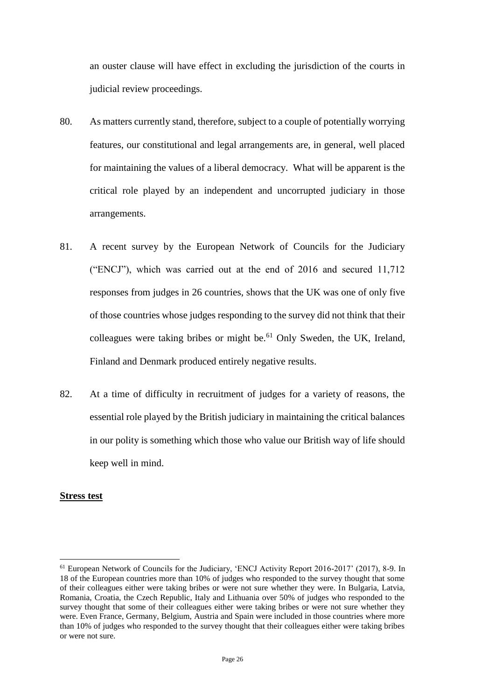an ouster clause will have effect in excluding the jurisdiction of the courts in judicial review proceedings.

- 80. As matters currently stand, therefore, subject to a couple of potentially worrying features, our constitutional and legal arrangements are, in general, well placed for maintaining the values of a liberal democracy. What will be apparent is the critical role played by an independent and uncorrupted judiciary in those arrangements.
- 81. A recent survey by the European Network of Councils for the Judiciary ("ENCJ"), which was carried out at the end of 2016 and secured 11,712 responses from judges in 26 countries, shows that the UK was one of only five of those countries whose judges responding to the survey did not think that their colleagues were taking bribes or might be.<sup>61</sup> Only Sweden, the UK, Ireland, Finland and Denmark produced entirely negative results.
- 82. At a time of difficulty in recruitment of judges for a variety of reasons, the essential role played by the British judiciary in maintaining the critical balances in our polity is something which those who value our British way of life should keep well in mind.

#### **Stress test**

<sup>61</sup> European Network of Councils for the Judiciary, 'ENCJ Activity Report 2016-2017' (2017), 8-9. In 18 of the European countries more than 10% of judges who responded to the survey thought that some of their colleagues either were taking bribes or were not sure whether they were. In Bulgaria, Latvia, Romania, Croatia, the Czech Republic, Italy and Lithuania over 50% of judges who responded to the survey thought that some of their colleagues either were taking bribes or were not sure whether they were. Even France, Germany, Belgium, Austria and Spain were included in those countries where more than 10% of judges who responded to the survey thought that their colleagues either were taking bribes or were not sure.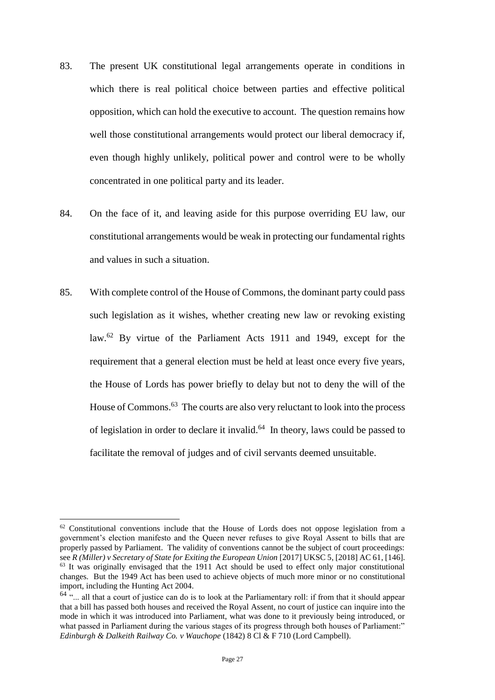- 83. The present UK constitutional legal arrangements operate in conditions in which there is real political choice between parties and effective political opposition, which can hold the executive to account. The question remains how well those constitutional arrangements would protect our liberal democracy if, even though highly unlikely, political power and control were to be wholly concentrated in one political party and its leader.
- 84. On the face of it, and leaving aside for this purpose overriding EU law, our constitutional arrangements would be weak in protecting our fundamental rights and values in such a situation.
- 85. With complete control of the House of Commons, the dominant party could pass such legislation as it wishes, whether creating new law or revoking existing law.<sup>62</sup> By virtue of the Parliament Acts 1911 and 1949, except for the requirement that a general election must be held at least once every five years, the House of Lords has power briefly to delay but not to deny the will of the House of Commons.<sup>63</sup> The courts are also very reluctant to look into the process of legislation in order to declare it invalid. $64$  In theory, laws could be passed to facilitate the removal of judges and of civil servants deemed unsuitable.

<sup>&</sup>lt;sup>62</sup> Constitutional conventions include that the House of Lords does not oppose legislation from a government's election manifesto and the Queen never refuses to give Royal Assent to bills that are properly passed by Parliament. The validity of conventions cannot be the subject of court proceedings: see *R (Miller) v Secretary of State for Exiting the European Union* [2017] UKSC 5, [2018] AC 61, [146]. <sup>63</sup> It was originally envisaged that the 1911 Act should be used to effect only major constitutional changes. But the 1949 Act has been used to achieve objects of much more minor or no constitutional import, including the Hunting Act 2004.

<sup>&</sup>lt;sup>64</sup> "... all that a court of justice can do is to look at the Parliamentary roll: if from that it should appear that a bill has passed both houses and received the Royal Assent, no court of justice can inquire into the mode in which it was introduced into Parliament, what was done to it previously being introduced, or what passed in Parliament during the various stages of its progress through both houses of Parliament:" *Edinburgh & Dalkeith Railway Co. v Wauchope* (1842) 8 Cl & F 710 (Lord Campbell).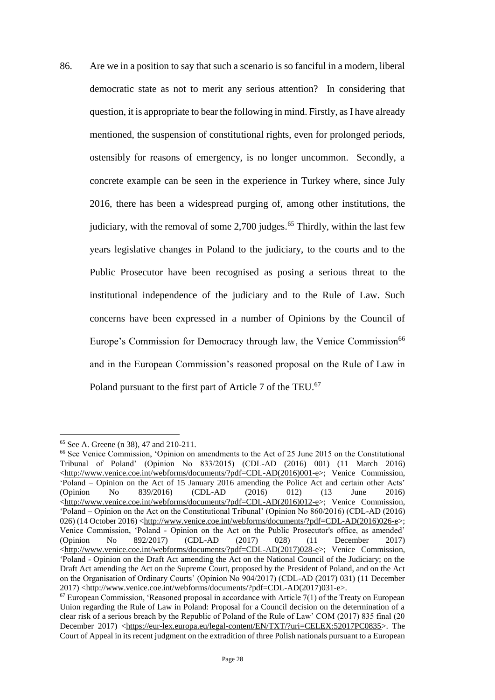86. Are we in a position to say that such a scenario is so fanciful in a modern, liberal democratic state as not to merit any serious attention? In considering that question, it is appropriate to bear the following in mind. Firstly, as I have already mentioned, the suspension of constitutional rights, even for prolonged periods, ostensibly for reasons of emergency, is no longer uncommon. Secondly, a concrete example can be seen in the experience in Turkey where, since July 2016, there has been a widespread purging of, among other institutions, the judiciary, with the removal of some  $2,700$  judges.<sup>65</sup> Thirdly, within the last few years legislative changes in Poland to the judiciary, to the courts and to the Public Prosecutor have been recognised as posing a serious threat to the institutional independence of the judiciary and to the Rule of Law. Such concerns have been expressed in a number of Opinions by the Council of Europe's Commission for Democracy through law, the Venice Commission<sup>66</sup> and in the European Commission's reasoned proposal on the Rule of Law in Poland pursuant to the first part of Article 7 of the TEU.<sup>67</sup>

<sup>&</sup>lt;u>.</u> <sup>65</sup> See A. Greene (n 38), 47 and 210-211.

<sup>66</sup> See Venice Commission, 'Opinion on amendments to the Act of 25 June 2015 on the Constitutional Tribunal of Poland' (Opinion No 833/2015) (CDL-AD (2016) 001) (11 March 2016) [<http://www.venice.coe.int/webforms/documents/?pdf=CDL-AD\(2016\)001-e>](http://www.venice.coe.int/webforms/documents/?pdf=CDL-AD(2016)001-e); Venice Commission, 'Poland – Opinion on the Act of 15 January 2016 amending the Police Act and certain other Acts' (Opinion No 839/2016) (CDL-AD (2016) 012) (13 June 2016) [<http://www.venice.coe.int/webforms/documents/?pdf=CDL-AD\(2016\)012-e>](http://www.venice.coe.int/webforms/documents/?pdf=CDL-AD(2016)012-e); Venice Commission, 'Poland – Opinion on the Act on the Constitutional Tribunal' (Opinion No 860/2016) (CDL-AD (2016) 026) (14 October 2016) [<http://www.venice.coe.int/webforms/documents/?pdf=CDL-AD\(2016\)026-e>](http://www.venice.coe.int/webforms/documents/?pdf=CDL-AD(2016)026-e); Venice Commission, 'Poland - Opinion on the Act on the Public Prosecutor's office, as amended' (Opinion No 892/2017) (CDL-AD (2017) 028) (11 December 2017) [<http://www.venice.coe.int/webforms/documents/?pdf=CDL-AD\(2017\)028-e>](http://www.venice.coe.int/webforms/documents/?pdf=CDL-AD(2017)028-e); Venice Commission, 'Poland - Opinion on the Draft Act amending the Act on the National Council of the Judiciary; on the Draft Act amending the Act on the Supreme Court, proposed by the President of Poland, and on the Act on the Organisation of Ordinary Courts' (Opinion No 904/2017) (CDL-AD (2017) 031) (11 December 2017) [<http://www.venice.coe.int/webforms/documents/?pdf=CDL-AD\(2017\)031-e>](http://www.venice.coe.int/webforms/documents/?pdf=CDL-AD(2017)031-e).

 $67$  European Commission, 'Reasoned proposal in accordance with Article 7(1) of the Treaty on European Union regarding the Rule of Law in Poland: Proposal for a Council decision on the determination of a clear risk of a serious breach by the Republic of Poland of the Rule of Law' COM (2017) 835 final (20 December 2017) [<https://eur-lex.europa.eu/legal-content/EN/TXT/?uri=CELEX:52017PC0835>](https://eur-lex.europa.eu/legal-content/EN/TXT/?uri=CELEX:52017PC0835). The Court of Appeal in its recent judgment on the extradition of three Polish nationals pursuant to a European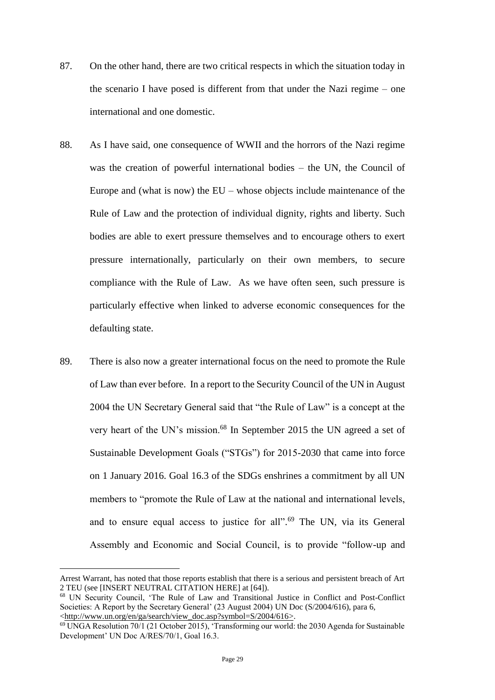- 87. On the other hand, there are two critical respects in which the situation today in the scenario I have posed is different from that under the Nazi regime – one international and one domestic.
- 88. As I have said, one consequence of WWII and the horrors of the Nazi regime was the creation of powerful international bodies – the UN, the Council of Europe and (what is now) the  $EU$  – whose objects include maintenance of the Rule of Law and the protection of individual dignity, rights and liberty. Such bodies are able to exert pressure themselves and to encourage others to exert pressure internationally, particularly on their own members, to secure compliance with the Rule of Law. As we have often seen, such pressure is particularly effective when linked to adverse economic consequences for the defaulting state.
- 89. There is also now a greater international focus on the need to promote the Rule of Law than ever before. In a report to the Security Council of the UN in August 2004 the UN Secretary General said that "the Rule of Law" is a concept at the very heart of the UN's mission.<sup>68</sup> In September 2015 the UN agreed a set of Sustainable Development Goals ("STGs") for 2015-2030 that came into force on 1 January 2016. Goal 16.3 of the SDGs enshrines a commitment by all UN members to "promote the Rule of Law at the national and international levels, and to ensure equal access to justice for all".<sup>69</sup> The UN, via its General Assembly and Economic and Social Council, is to provide "follow-up and

Arrest Warrant, has noted that those reports establish that there is a serious and persistent breach of Art 2 TEU (see [INSERT NEUTRAL CITATION HERE] at [64]).

<sup>68</sup> UN Security Council, 'The Rule of Law and Transitional Justice in Conflict and Post-Conflict Societies: A Report by the Secretary General' (23 August 2004) UN Doc (S/2004/616), para 6, [<http://www.un.org/en/ga/search/view\\_doc.asp?symbol=S/2004/616>](http://www.un.org/en/ga/search/view_doc.asp?symbol=S/2004/616).

<sup>69</sup> UNGA Resolution 70/1 (21 October 2015), 'Transforming our world: the 2030 Agenda for Sustainable Development' UN Doc A/RES/70/1, Goal 16.3.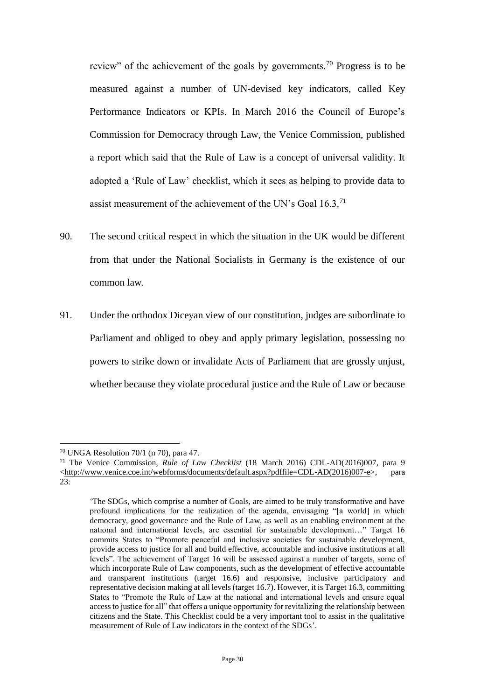review" of the achievement of the goals by governments.<sup>70</sup> Progress is to be measured against a number of UN-devised key indicators, called Key Performance Indicators or KPIs. In March 2016 the Council of Europe's Commission for Democracy through Law, the Venice Commission, published a report which said that the Rule of Law is a concept of universal validity. It adopted a 'Rule of Law' checklist, which it sees as helping to provide data to assist measurement of the achievement of the UN's Goal 16.3.<sup>71</sup>

- 90. The second critical respect in which the situation in the UK would be different from that under the National Socialists in Germany is the existence of our common law.
- 91. Under the orthodox Diceyan view of our constitution, judges are subordinate to Parliament and obliged to obey and apply primary legislation, possessing no powers to strike down or invalidate Acts of Parliament that are grossly unjust, whether because they violate procedural justice and the Rule of Law or because

<sup>70</sup> UNGA Resolution 70/1 (n 70), para 47.

<sup>71</sup> The Venice Commission, *Rule of Law Checklist* (18 March 2016) CDL-AD(2016)007, para 9 [<http://www.venice.coe.int/webforms/documents/default.aspx?pdffile=CDL-AD\(2016\)007-e>](http://www.venice.coe.int/webforms/documents/default.aspx?pdffile=CDL-AD(2016)007-e), para 23:

<sup>&#</sup>x27;The SDGs, which comprise a number of Goals, are aimed to be truly transformative and have profound implications for the realization of the agenda, envisaging "[a world] in which democracy, good governance and the Rule of Law, as well as an enabling environment at the national and international levels, are essential for sustainable development…" Target 16 commits States to "Promote peaceful and inclusive societies for sustainable development, provide access to justice for all and build effective, accountable and inclusive institutions at all levels". The achievement of Target 16 will be assessed against a number of targets, some of which incorporate Rule of Law components, such as the development of effective accountable and transparent institutions (target 16.6) and responsive, inclusive participatory and representative decision making at all levels (target 16.7). However, it is Target 16.3, committing States to "Promote the Rule of Law at the national and international levels and ensure equal access to justice for all" that offers a unique opportunity for revitalizing the relationship between citizens and the State. This Checklist could be a very important tool to assist in the qualitative measurement of Rule of Law indicators in the context of the SDGs'.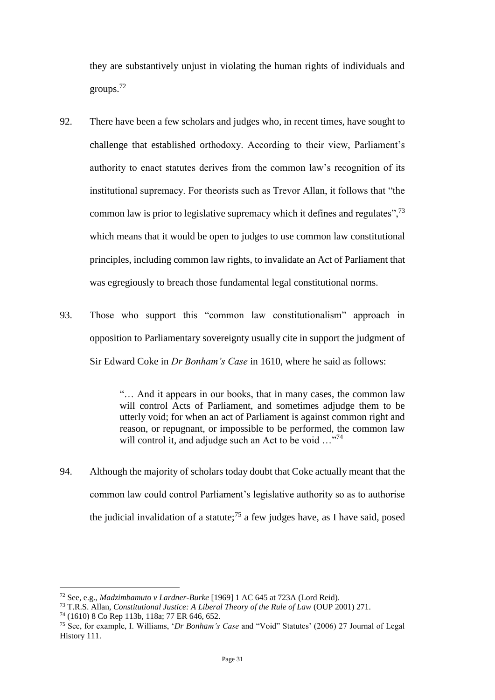they are substantively unjust in violating the human rights of individuals and groups.<sup>72</sup>

- 92. There have been a few scholars and judges who, in recent times, have sought to challenge that established orthodoxy. According to their view, Parliament's authority to enact statutes derives from the common law's recognition of its institutional supremacy. For theorists such as Trevor Allan, it follows that "the common law is prior to legislative supremacy which it defines and regulates",<sup>73</sup> which means that it would be open to judges to use common law constitutional principles, including common law rights, to invalidate an Act of Parliament that was egregiously to breach those fundamental legal constitutional norms.
- 93. Those who support this "common law constitutionalism" approach in opposition to Parliamentary sovereignty usually cite in support the judgment of Sir Edward Coke in *Dr Bonham's Case* in 1610, where he said as follows:

"… And it appears in our books, that in many cases, the common law will control Acts of Parliament, and sometimes adjudge them to be utterly void; for when an act of Parliament is against common right and reason, or repugnant, or impossible to be performed, the common law will control it, and adjudge such an Act to be void ..."<sup>74</sup>

94. Although the majority of scholars today doubt that Coke actually meant that the common law could control Parliament's legislative authority so as to authorise the judicial invalidation of a statute;<sup>75</sup> a few judges have, as I have said, posed

<sup>72</sup> See, e.g., *Madzimbamuto v Lardner-Burke* [1969] 1 AC 645 at 723A (Lord Reid).

<sup>73</sup> T.R.S. Allan, *Constitutional Justice: A Liberal Theory of the Rule of Law* (OUP 2001) 271.

<sup>74</sup> (1610) 8 Co Rep 113b, 118a; 77 ER 646, 652.

<sup>75</sup> See, for example, I. Williams, '*Dr Bonham's Case* and "Void" Statutes' (2006) 27 Journal of Legal History 111.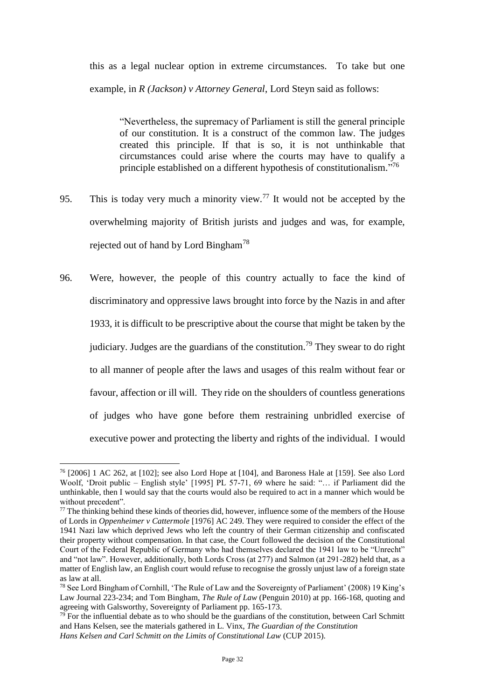this as a legal nuclear option in extreme circumstances. To take but one example, in *R (Jackson) v Attorney General*, Lord Steyn said as follows:

"Nevertheless, the supremacy of Parliament is still the general principle of our constitution. It is a construct of the common law. The judges created this principle. If that is so, it is not unthinkable that circumstances could arise where the courts may have to qualify a principle established on a different hypothesis of constitutionalism."<sup>76</sup>

- 95. This is today very much a minority view.<sup>77</sup> It would not be accepted by the overwhelming majority of British jurists and judges and was, for example, rejected out of hand by Lord Bingham<sup>78</sup>
- 96. Were, however, the people of this country actually to face the kind of discriminatory and oppressive laws brought into force by the Nazis in and after 1933, it is difficult to be prescriptive about the course that might be taken by the judiciary. Judges are the guardians of the constitution.<sup>79</sup> They swear to do right to all manner of people after the laws and usages of this realm without fear or favour, affection or ill will. They ride on the shoulders of countless generations of judges who have gone before them restraining unbridled exercise of executive power and protecting the liberty and rights of the individual. I would

<sup>76</sup> [2006] 1 AC 262, at [102]; see also Lord Hope at [104], and Baroness Hale at [159]. See also Lord Woolf, 'Droit public – English style' [1995] PL 57-71, 69 where he said: "… if Parliament did the unthinkable, then I would say that the courts would also be required to act in a manner which would be without precedent".

<sup>&</sup>lt;sup>77</sup> The thinking behind these kinds of theories did, however, influence some of the members of the House of Lords in *Oppenheimer v Cattermole* [1976] AC 249. They were required to consider the effect of the 1941 Nazi law which deprived Jews who left the country of their German citizenship and confiscated their property without compensation. In that case, the Court followed the decision of the Constitutional Court of the Federal Republic of Germany who had themselves declared the 1941 law to be "Unrecht" and "not law". However, additionally, both Lords Cross (at 277) and Salmon (at 291-282) held that, as a matter of English law, an English court would refuse to recognise the grossly unjust law of a foreign state as law at all.

<sup>78</sup> See Lord Bingham of Cornhill, 'The Rule of Law and the Sovereignty of Parliament' (2008) 19 King's Law Journal 223-234; and Tom Bingham, *The Rule of Law* (Penguin 2010) at pp. 166-168, quoting and agreeing with Galsworthy, Sovereignty of Parliament pp. 165-173.

 $79$  For the influential debate as to who should be the guardians of the constitution, between Carl Schmitt and Hans Kelsen, see the materials gathered in L. Vinx, *The Guardian of the Constitution Hans Kelsen and Carl Schmitt on the Limits of Constitutional Law* (CUP 2015).